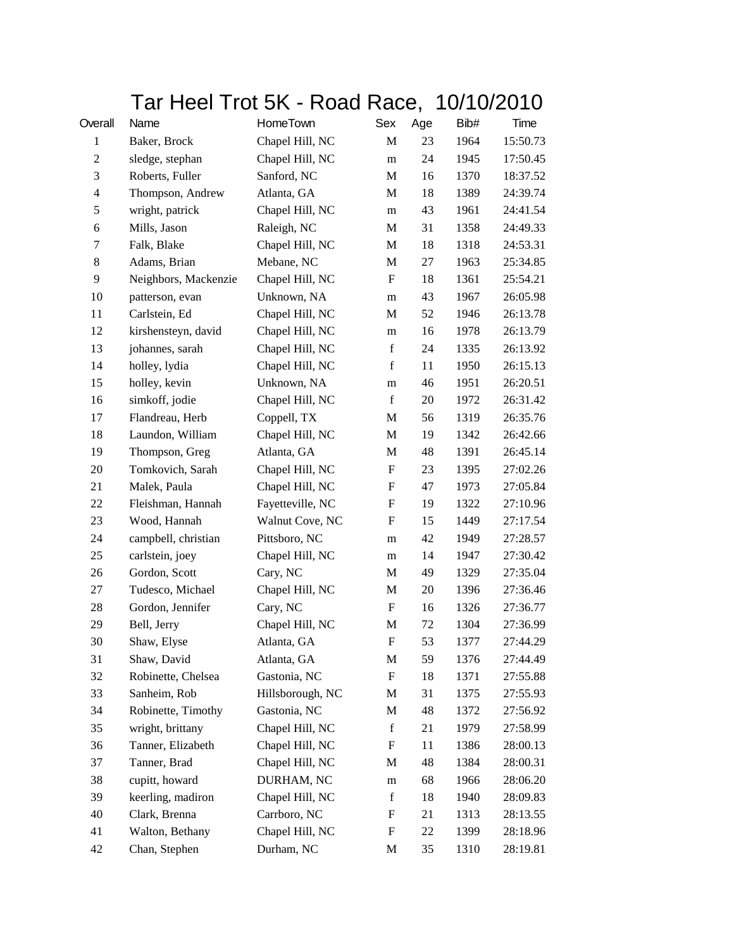|              | Tar Heel Trot 5K - Road Race, 10/10/2010 |                  |                           |     |      |          |
|--------------|------------------------------------------|------------------|---------------------------|-----|------|----------|
| Overall      | Name                                     | HomeTown         | Sex                       | Age | Bib# | Time     |
| $\mathbf{1}$ | Baker, Brock                             | Chapel Hill, NC  | M                         | 23  | 1964 | 15:50.73 |
| $\mathbf{2}$ | sledge, stephan                          | Chapel Hill, NC  | m                         | 24  | 1945 | 17:50.45 |
| 3            | Roberts, Fuller                          | Sanford, NC      | M                         | 16  | 1370 | 18:37.52 |
| 4            | Thompson, Andrew                         | Atlanta, GA      | M                         | 18  | 1389 | 24:39.74 |
| 5            | wright, patrick                          | Chapel Hill, NC  | m                         | 43  | 1961 | 24:41.54 |
| 6            | Mills, Jason                             | Raleigh, NC      | М                         | 31  | 1358 | 24:49.33 |
| 7            | Falk, Blake                              | Chapel Hill, NC  | M                         | 18  | 1318 | 24:53.31 |
| 8            | Adams, Brian                             | Mebane, NC       | M                         | 27  | 1963 | 25:34.85 |
| 9            | Neighbors, Mackenzie                     | Chapel Hill, NC  | $\mathbf F$               | 18  | 1361 | 25:54.21 |
| 10           | patterson, evan                          | Unknown, NA      | m                         | 43  | 1967 | 26:05.98 |
| 11           | Carlstein, Ed                            | Chapel Hill, NC  | M                         | 52  | 1946 | 26:13.78 |
| 12           | kirshensteyn, david                      | Chapel Hill, NC  | m                         | 16  | 1978 | 26:13.79 |
| 13           | johannes, sarah                          | Chapel Hill, NC  | $\mathbf f$               | 24  | 1335 | 26:13.92 |
| 14           | holley, lydia                            | Chapel Hill, NC  | f                         | 11  | 1950 | 26:15.13 |
| 15           | holley, kevin                            | Unknown, NA      | m                         | 46  | 1951 | 26:20.51 |
| 16           | simkoff, jodie                           | Chapel Hill, NC  | $\mathbf f$               | 20  | 1972 | 26:31.42 |
| 17           | Flandreau, Herb                          | Coppell, TX      | M                         | 56  | 1319 | 26:35.76 |
| 18           | Laundon, William                         | Chapel Hill, NC  | M                         | 19  | 1342 | 26:42.66 |
| 19           | Thompson, Greg                           | Atlanta, GA      | $\mathbf M$               | 48  | 1391 | 26:45.14 |
| 20           | Tomkovich, Sarah                         | Chapel Hill, NC  | F                         | 23  | 1395 | 27:02.26 |
| 21           | Malek, Paula                             | Chapel Hill, NC  | F                         | 47  | 1973 | 27:05.84 |
| 22           | Fleishman, Hannah                        | Fayetteville, NC | $\boldsymbol{\mathrm{F}}$ | 19  | 1322 | 27:10.96 |
| 23           | Wood, Hannah                             | Walnut Cove, NC  | F                         | 15  | 1449 | 27:17.54 |
| 24           | campbell, christian                      | Pittsboro, NC    | m                         | 42  | 1949 | 27:28.57 |
| 25           | carlstein, joey                          | Chapel Hill, NC  | m                         | 14  | 1947 | 27:30.42 |
| 26           | Gordon, Scott                            | Cary, NC         | M                         | 49  | 1329 | 27:35.04 |
| 27           | Tudesco, Michael                         | Chapel Hill, NC  | M                         | 20  | 1396 | 27:36.46 |
| 28           | Gordon, Jennifer                         | Cary, NC         | $\boldsymbol{\mathrm{F}}$ | 16  | 1326 | 27:36.77 |
| 29           | Bell, Jerry                              | Chapel Hill, NC  | M                         | 72  | 1304 | 27:36.99 |
| 30           | Shaw, Elyse                              | Atlanta, GA      | F                         | 53  | 1377 | 27:44.29 |
| 31           | Shaw, David                              | Atlanta, GA      | M                         | 59  | 1376 | 27:44.49 |
| 32           | Robinette, Chelsea                       | Gastonia, NC     | $\boldsymbol{\mathrm{F}}$ | 18  | 1371 | 27:55.88 |
| 33           | Sanheim, Rob                             | Hillsborough, NC | M                         | 31  | 1375 | 27:55.93 |
| 34           | Robinette, Timothy                       | Gastonia, NC     | M                         | 48  | 1372 | 27:56.92 |
| 35           | wright, brittany                         | Chapel Hill, NC  | $\mathbf f$               | 21  | 1979 | 27:58.99 |
| 36           | Tanner, Elizabeth                        | Chapel Hill, NC  | F                         | 11  | 1386 | 28:00.13 |
| 37           | Tanner, Brad                             | Chapel Hill, NC  | M                         | 48  | 1384 | 28:00.31 |
| 38           | cupitt, howard                           | DURHAM, NC       | m                         | 68  | 1966 | 28:06.20 |
| 39           | keerling, madiron                        | Chapel Hill, NC  | $\mathbf f$               | 18  | 1940 | 28:09.83 |
| 40           | Clark, Brenna                            | Carrboro, NC     | F                         | 21  | 1313 | 28:13.55 |
| 41           | Walton, Bethany                          | Chapel Hill, NC  | F                         | 22  | 1399 | 28:18.96 |
| 42           | Chan, Stephen                            | Durham, NC       | M                         | 35  | 1310 | 28:19.81 |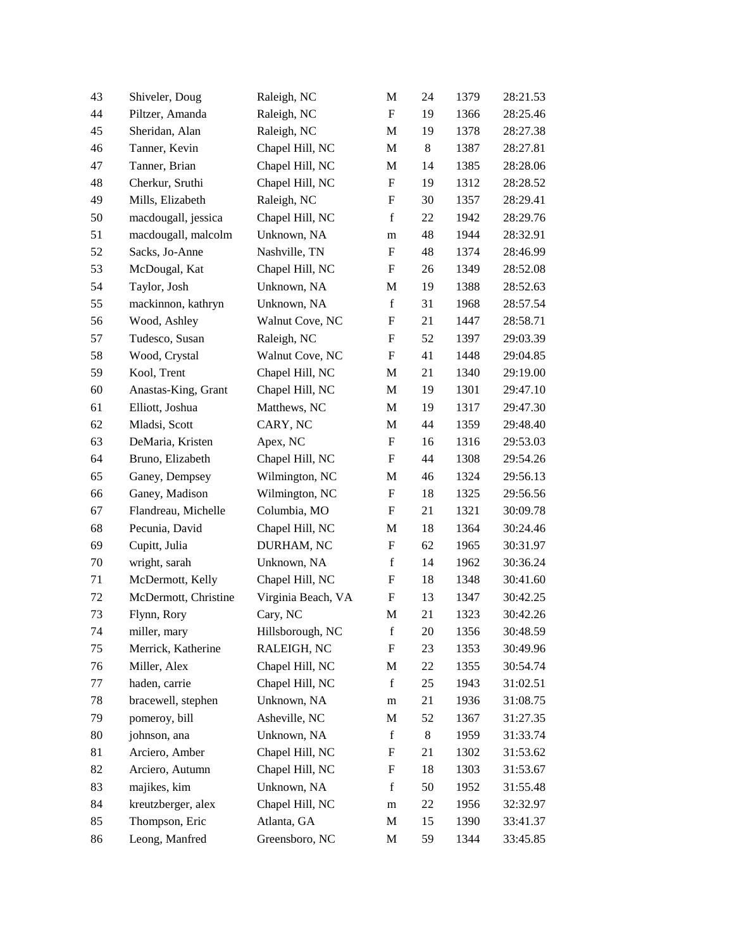| 43 | Shiveler, Doug       | Raleigh, NC        | M                         | 24    | 1379 | 28:21.53 |
|----|----------------------|--------------------|---------------------------|-------|------|----------|
| 44 | Piltzer, Amanda      | Raleigh, NC        | $\boldsymbol{\mathrm{F}}$ | 19    | 1366 | 28:25.46 |
| 45 | Sheridan, Alan       | Raleigh, NC        | $\mathbf M$               | 19    | 1378 | 28:27.38 |
| 46 | Tanner, Kevin        | Chapel Hill, NC    | M                         | 8     | 1387 | 28:27.81 |
| 47 | Tanner, Brian        | Chapel Hill, NC    | M                         | 14    | 1385 | 28:28.06 |
| 48 | Cherkur, Sruthi      | Chapel Hill, NC    | $\boldsymbol{\mathrm{F}}$ | 19    | 1312 | 28:28.52 |
| 49 | Mills, Elizabeth     | Raleigh, NC        | F                         | 30    | 1357 | 28:29.41 |
| 50 | macdougall, jessica  | Chapel Hill, NC    | $\mathbf f$               | 22    | 1942 | 28:29.76 |
| 51 | macdougall, malcolm  | Unknown, NA        | m                         | 48    | 1944 | 28:32.91 |
| 52 | Sacks, Jo-Anne       | Nashville, TN      | F                         | 48    | 1374 | 28:46.99 |
| 53 | McDougal, Kat        | Chapel Hill, NC    | F                         | 26    | 1349 | 28:52.08 |
| 54 | Taylor, Josh         | Unknown, NA        | M                         | 19    | 1388 | 28:52.63 |
| 55 | mackinnon, kathryn   | Unknown, NA        | $\mathbf f$               | 31    | 1968 | 28:57.54 |
| 56 | Wood, Ashley         | Walnut Cove, NC    | F                         | 21    | 1447 | 28:58.71 |
| 57 | Tudesco, Susan       | Raleigh, NC        | F                         | 52    | 1397 | 29:03.39 |
| 58 | Wood, Crystal        | Walnut Cove, NC    | $\boldsymbol{\mathrm{F}}$ | 41    | 1448 | 29:04.85 |
| 59 | Kool, Trent          | Chapel Hill, NC    | M                         | 21    | 1340 | 29:19.00 |
| 60 | Anastas-King, Grant  | Chapel Hill, NC    | M                         | 19    | 1301 | 29:47.10 |
| 61 | Elliott, Joshua      | Matthews, NC       | M                         | 19    | 1317 | 29:47.30 |
| 62 | Mladsi, Scott        | CARY, NC           | M                         | 44    | 1359 | 29:48.40 |
| 63 | DeMaria, Kristen     | Apex, NC           | $\boldsymbol{\mathrm{F}}$ | 16    | 1316 | 29:53.03 |
| 64 | Bruno, Elizabeth     | Chapel Hill, NC    | F                         | 44    | 1308 | 29:54.26 |
| 65 | Ganey, Dempsey       | Wilmington, NC     | M                         | 46    | 1324 | 29:56.13 |
| 66 | Ganey, Madison       | Wilmington, NC     | F                         | 18    | 1325 | 29:56.56 |
| 67 | Flandreau, Michelle  | Columbia, MO       | F                         | 21    | 1321 | 30:09.78 |
| 68 | Pecunia, David       | Chapel Hill, NC    | M                         | 18    | 1364 | 30:24.46 |
| 69 | Cupitt, Julia        | DURHAM, NC         | F                         | 62    | 1965 | 30:31.97 |
| 70 | wright, sarah        | Unknown, NA        | $\mathbf f$               | 14    | 1962 | 30:36.24 |
| 71 | McDermott, Kelly     | Chapel Hill, NC    | F                         | 18    | 1348 | 30:41.60 |
| 72 | McDermott, Christine | Virginia Beach, VA | F                         | 13    | 1347 | 30:42.25 |
| 73 | Flynn, Rory          | Cary, NC           | M                         | 21    | 1323 | 30:42.26 |
| 74 | miller, mary         | Hillsborough, NC   | f                         | 20    | 1356 | 30:48.59 |
| 75 | Merrick, Katherine   | RALEIGH, NC        | F                         | 23    | 1353 | 30:49.96 |
| 76 | Miller, Alex         | Chapel Hill, NC    | M                         | 22    | 1355 | 30:54.74 |
| 77 | haden, carrie        | Chapel Hill, NC    | $\mathbf f$               | 25    | 1943 | 31:02.51 |
| 78 | bracewell, stephen   | Unknown, NA        | m                         | 21    | 1936 | 31:08.75 |
| 79 | pomeroy, bill        | Asheville, NC      | M                         | 52    | 1367 | 31:27.35 |
| 80 | johnson, ana         | Unknown, NA        | $\mathbf f$               | $8\,$ | 1959 | 31:33.74 |
| 81 | Arciero, Amber       | Chapel Hill, NC    | F                         | 21    | 1302 | 31:53.62 |
| 82 | Arciero, Autumn      | Chapel Hill, NC    | F                         | 18    | 1303 | 31:53.67 |
| 83 | majikes, kim         | Unknown, NA        | $\mathbf f$               | 50    | 1952 | 31:55.48 |
| 84 | kreutzberger, alex   | Chapel Hill, NC    | m                         | 22    | 1956 | 32:32.97 |
| 85 | Thompson, Eric       | Atlanta, GA        | M                         | 15    | 1390 | 33:41.37 |
| 86 | Leong, Manfred       | Greensboro, NC     | M                         | 59    | 1344 | 33:45.85 |